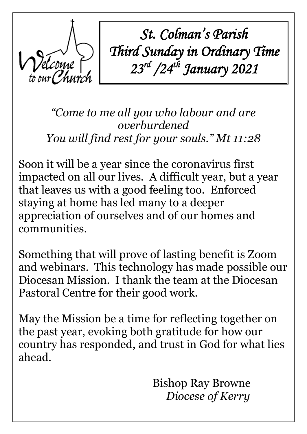

*St. Colman's Parish Third Sunday in Ordinary Time 23rd /24th January 2021*

*"Come to me all you who labour and are overburdened You will find rest for your souls." Mt 11:28*

Soon it will be a year since the coronavirus first impacted on all our lives. A difficult year, but a year that leaves us with a good feeling too. Enforced staying at home has led many to a deeper appreciation of ourselves and of our homes and communities.

Something that will prove of lasting benefit is Zoom and webinars. This technology has made possible our Diocesan Mission. I thank the team at the Diocesan Pastoral Centre for their good work.

May the Mission be a time for reflecting together on the past year, evoking both gratitude for how our country has responded, and trust in God for what lies ahead.

 Bishop Ray Browne  *Diocese of Kerry*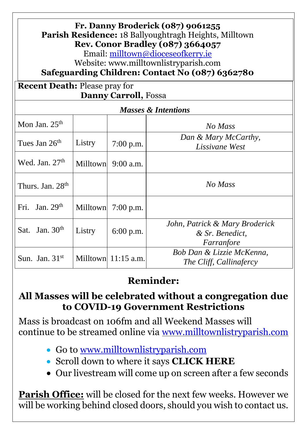| Fr. Danny Broderick (087) 9061255<br><b>Parish Residence: 18 Ballyoughtragh Heights, Milltown</b><br><b>Rev. Conor Bradley (087) 3664057</b><br>Email: milltown@dioceseofkerry.ie<br>Website: www.milltownlistryparish.com<br>Safeguarding Children: Contact No (087) 6362780 |                 |                       |                                                                 |
|-------------------------------------------------------------------------------------------------------------------------------------------------------------------------------------------------------------------------------------------------------------------------------|-----------------|-----------------------|-----------------------------------------------------------------|
| <b>Recent Death: Please pray for</b><br><b>Danny Carroll, Fossa</b>                                                                                                                                                                                                           |                 |                       |                                                                 |
| <b>Masses &amp; Intentions</b>                                                                                                                                                                                                                                                |                 |                       |                                                                 |
| Mon Jan. $25th$                                                                                                                                                                                                                                                               |                 |                       | No Mass                                                         |
| Tues Jan 26 <sup>th</sup>                                                                                                                                                                                                                                                     | Listry          | $7:00$ p.m.           | Dan & Mary McCarthy,<br>Lissivane West                          |
| Wed. Jan. $27th$                                                                                                                                                                                                                                                              |                 | Milltown $9:00$ a.m.  |                                                                 |
| Thurs. Jan. 28 <sup>th</sup>                                                                                                                                                                                                                                                  |                 |                       | No Mass                                                         |
| Fri. Jan. $29th$                                                                                                                                                                                                                                                              | <b>Milltown</b> | $7:00$ p.m.           |                                                                 |
| Sat. Jan. $30th$                                                                                                                                                                                                                                                              | Listry          | $6:00$ p.m.           | John, Patrick & Mary Broderick<br>& Sr. Benedict.<br>Farranfore |
| Sun. Jan. 31 <sup>st</sup>                                                                                                                                                                                                                                                    |                 | Milltown $11:15$ a.m. | Bob Dan & Lizzie McKenna,<br>The Cliff, Callinafercy            |

## **Reminder:**

### **All Masses will be celebrated without a congregation due to COVID-19 Government Restrictions**

Mass is broadcast on 106fm and all Weekend Masses will continue to be streamed online via [www.milltownlistryparish.com](http://www.milltownlistryparish.com/)

- Go to [www.milltownlistryparish.com](http://www.milltownlistryparish.com/)
- Scroll down to where it says **CLICK HERE**
- Our livestream will come up on screen after a few seconds

**Parish Office:** will be closed for the next few weeks. However we will be working behind closed doors, should you wish to contact us.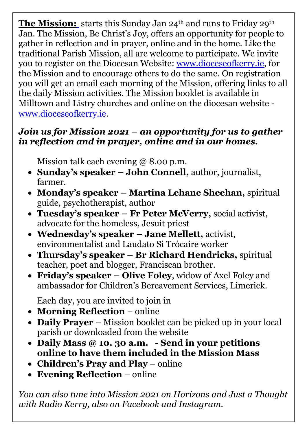**[The Mission:](https://www.dioceseofkerry.ie/2020/12/diocesan-mission-jan-2021/)** starts this Sunday Jan 24<sup>th</sup> and runs to Friday 29<sup>th</sup> Jan. The Mission, Be Christ's Joy, offers an opportunity for people to gather in reflection and in prayer, online and in the home. Like the traditional Parish Mission, all are welcome to participate. We invite you to register on the Diocesan Website: [www.dioceseofkerry.ie,](http://www.dioceseofkerry.ie/) for the Mission and to encourage others to do the same. On registration you will get an email each morning of the Mission, offering links to all the daily Mission activities. The Mission booklet is available in Milltown and Listry churches and online on the diocesan website [www.dioceseofkerry.ie.](http://www.dioceseofkerry.ie/)

#### *Join us for Mission 2021 – an opportunity for us to gather in reflection and in prayer, online and in our homes.*

Mission talk each evening @ 8.00 p.m.

- **Sunday's speaker – John Connell,** author, journalist, farmer.
- **Monday's speaker – Martina Lehane Sheehan,** spiritual guide, psychotherapist, author
- **Tuesday's speaker – Fr Peter McVerry,** social activist, advocate for the homeless, Jesuit priest
- **Wednesday's speaker – Jane Mellett,** activist, environmentalist and Laudato Si Trócaire worker
- **Thursday's speaker – Br Richard Hendricks,** spiritual teacher, poet and blogger, Franciscan brother.
- **Friday's speaker – Olive Foley**, widow of Axel Foley and ambassador for Children's Bereavement Services, Limerick.

Each day, you are invited to join in

- **Morning Reflection** online
- **Daily Prayer** Mission booklet can be picked up in your local parish or downloaded from the website
- **Daily Mass @ 10. 30 a.m. - Send in your petitions online to have them included in the Mission Mass**
- **Children's Pray and Play** online
- **Evening Reflection** online

*You can also tune into Mission 2021 on Horizons and Just a Thought with Radio Kerry, also on Facebook and Instagram.*